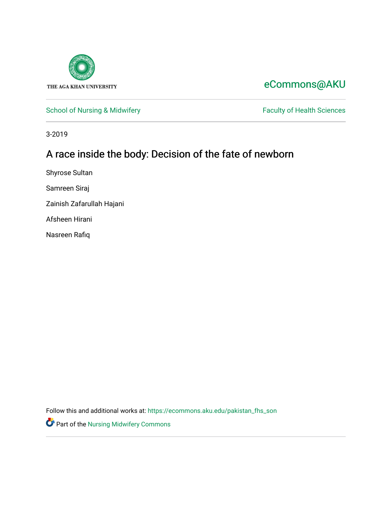

# [eCommons@AKU](https://ecommons.aku.edu/)

[School of Nursing & Midwifery](https://ecommons.aku.edu/pakistan_fhs_son) Faculty of Health Sciences

3-2019

# A race inside the body: Decision of the fate of newborn

Shyrose Sultan

Samreen Siraj

Zainish Zafarullah Hajani

Afsheen Hirani

Nasreen Rafiq

Follow this and additional works at: [https://ecommons.aku.edu/pakistan\\_fhs\\_son](https://ecommons.aku.edu/pakistan_fhs_son?utm_source=ecommons.aku.edu%2Fpakistan_fhs_son%2F387&utm_medium=PDF&utm_campaign=PDFCoverPages) 

**Part of the Nursing Midwifery Commons**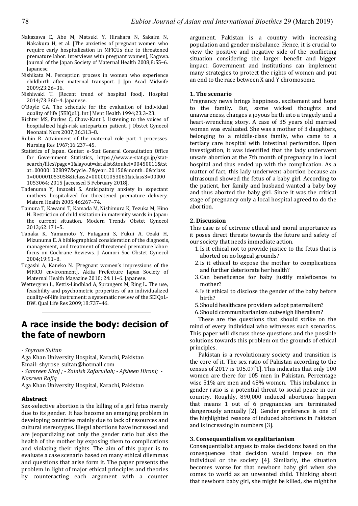- Nakazawa E, Abe M, Matsuki Y, Hirahara N, Sakaim N, Nakakura H, et al. [The anxieties of pregnant women who require early hospitalization in MFICUs due to threatened premature labor: interviews with pregnant women], Kagawa. Journal of the Japan Society of Maternal Health 2008;8:55-6. Japanese.
- Nishikata M. Perception process in women who experience childbirth after maternal transport. J Jpn Acad Midwife 2009;23:26–36.
- Nishiwaki T. [Recent trend of hospital food]. Hospital 2014;73:360-4. Japanese.
- O'Boyle CA. The schedule for the evaluation of individual quality of life (SEIQoL). Int J Ment Health 1994;23:3-23.
- Richter MS, Parkes C, Chaw-Kant J. Listening to the voices of hospitalized high-risk antepartum patient. J Obstet Gynecol Neonatal Nurs 2007;36:313–8.
- Rubin R. Attainment of the maternal role part 1 processes. Nursing Res 1967;16:237–45.
- Statistics of Japan. Center: e-Stat General Consultation Office for Government Statistics, https://www.e-stat.go.jp/statsearch/files?page=1&layout=datalist&toukei=00450011&tst at=000001028897&cycle=7&year=20150&month=0&tclass 1=000001053058&tclass2=000001053061&tclass3=00000 1053064; 2015 [accessed 5 February 2018].
- Tadenuma Y, Imazeki S. Anticipatory anxiety in expectant mothers hospitalized for threatened premature delivery. Matern Health 2005:46:267-74.
- Tamura T, Kawami T, Kamada M, Nishimura K, Tezuka M, Hino H. Restriction of child visitation in maternity wards in Japan: the current situation. Modern Trends Obstet Gynecol 2013;62:171–5.
- Tanaka K, Yamamoto Y, Futagami S, Fukui A, Ozaki H, Mizunuma E. A bibliographical consideration of the diagnosis, management, and treatment of threatened premature labor: focus on Cochrane Reviews. J Aomori Soc Obstet Gynecol 2004;19:91–8.
- Togashi A, Kaneko N. [Pregnant women's impressions of the MFICU environmentl. Akita Prefecture Japan Society of Maternal Health Magazine 2010; 24:11-6. Japanese.
- Wettergren L, Kettis-Lindblad A, Sprangers M, Ring L. The use, feasibility and psychometric properties of an individualized quality-of-life instrument: a systematic review of the SEIQoL-DW. Qual Life Res 2009;18:737-46.

## **A race inside the body: decision of the fate of newborn**

*- Shyrose Sultan* 

Aga Khan University Hospital, Karachi, Pakistan

Email: shyrose\_sultan@hotmail.com

*- Samreen Siraj ; - Zainish Zafarullah; - Afsheen Hirani; - Nasreen Rafiq* 

Aga Khan University Hospital, Karachi, Pakistan

#### **Abstract**

Sex-selective abortion is the killing of a girl fetus merely due to its gender. It has become an emerging problem in developing countries mainly due to lack of resources and cultural stereotypes. Illegal abortions have increased and are jeopardizing not only the gender ratio but also the health of the mother by exposing them to complications and violating their rights. The aim of this paper is to evaluate a case scenario based on many ethical dilemmas and questions that arise form it. The paper presents the problem in light of major ethical principles and theories by counteracting each argument with a counter argument. Pakistan is a country with increasing population and gender misbalance. Hence, it is crucial to view the positive and negative side of the conflicting situation considering the larger benefit and bigger impact. Government and institutions can implement many strategies to protect the rights of women and put an end to the race between X and Y chromosome.

#### **1. The scenario**

Pregnancy news brings happiness, excitement and hope to the family. But, some wicked thoughts and unawareness, changes a joyous birth into a tragedy and a heart-wrenching story. A case of 35 years old married woman was evaluated. She was a mother of 3 daughters, belonging to a middle-class family, who came to a tertiary care hospital with intestinal perforation. Upon investigation, it was identified that the lady underwent unsafe abortion at the 7th month of pregnancy in a local hospital and thus ended up with the complication. As a matter of fact, this lady underwent abortion because an ultrasound showed the fetus of a baby girl. According to the patient, her family and husband wanted a baby boy and thus aborted the baby girl. Since it was the critical stage of pregnancy only a local hospital agreed to do the abortion. 

#### **2. Discussion**

This case is of extreme ethical and moral importance as it poses direct threats towards the future and safety of our society that needs immediate action.

- 1. Is it ethical not to provide justice to the fetus that is aborted on no logical grounds?
- 2. Is it ethical to expose the mother to complications and further deteriorate her health?
- 3.Can beneficence for baby justify maleficence to mother?
- 4. Is it ethical to disclose the gender of the baby before birth?
- 5. Should healthcare providers adopt paternalism?
- 6. Should communitarianism outweigh liberalism?

These are the questions that should strike on the mind of every individual who witnesses such scenarios. This paper will discuss these questions and the possible solutions towards this problem on the grounds of ethical principles. 

Pakistan is a revolutionary society and transition is the core of it. The sex ratio of Pakistan according to the census of  $2017$  is  $105.07[1]$ . This indicates that only  $100$ women are there for 105 men in Pakistan. Percentage wise 51% are men and 48% women. This imbalance in gender ratio is a potential threat to social peace in our country. Roughly, 890,000 induced abortions happen that means 1 out of 6 pregnancies are terminated dangerously annually [2]. Gender preference is one of the highlighted reasons of induced abortions in Pakistan and is increasing in numbers [3].

#### **3. Consequentialism vs egalitarianism**

Consequentialist argues to make decisions based on the consequences that decision would impose on the individual or the society  $[4]$ . Similarly, the situation becomes worse for that newborn baby girl when she comes to world as an unwanted child. Thinking about that newborn baby girl, she might be killed, she might be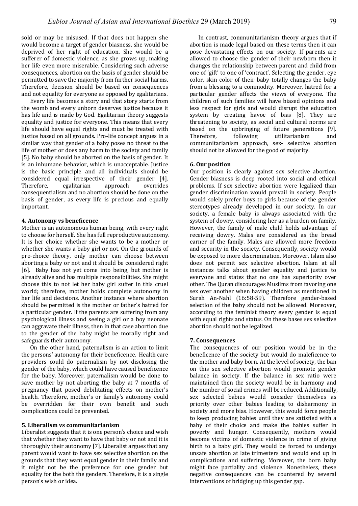sold or may be misused. If that does not happen she would become a target of gender biasness, she would be deprived of her right of education. She would be a sufferer of domestic violence, as she grows up, making her life even more miserable. Considering such adverse consequences, abortion on the basis of gender should be permitted to save the majority from further social harms. Therefore, decision should be based on consequences and not equality for everyone as opposed by egalitarians.

Every life becomes a story and that story starts from the womb and every unborn deserves justice because it has life and is made by God. Egalitarian theory suggests equality and justice for everyone. This means that every life should have equal rights and must be treated with justice based on all grounds. Pro-life concept argues in a similar way that gender of a baby poses no threat to the life of mother or does any harm to the society and family [5]. No baby should be aborted on the basis of gender. It is an inhumane behavior, which is unacceptable. Justice is the basic principle and all individuals should be considered equal irrespective of their gender [4]. Therefore, egalitarian approach overrides consequentialism and no abortion should be done on the basis of gender, as every life is precious and equally important.

#### **4. Autonomy vs beneficence**

Mother is an autonomous human being, with every right to choose for herself. She has full reproductive autonomy. It is her choice whether she wants to be a mother or whether she wants a baby girl or not. On the grounds of pro-choice theory, only mother can choose between aborting a baby or not and it should be considered right [6]. Baby has not yet come into being, but mother is already alive and has multiple responsibilities. She might choose this to not let her baby girl suffer in this cruel world; therefore, mother holds complete autonomy in her life and decisions. Another instance where abortion should be permitted is the mother or father's hatred for a particular gender. If the parents are suffering from any psychological illness and seeing a girl or a boy neonate can aggravate their illness, then in that case abortion due to the gender of the baby might be morally right and safeguards their autonomy.

On the other hand, paternalism is an action to limit the persons' autonomy for their beneficence. Health care providers could do paternalism by not disclosing the gender of the baby, which could have caused beneficence for the baby. Moreover, paternalism would be done to save mother by not aborting the baby at 7 months of pregnancy that posed debilitating effects on mother's health. Therefore, mother's or family's autonomy could be overridden for their own benefit and such complications could be prevented.

#### **5. Liberalism vs communitarianism**

Liberalist suggests that it is one person's choice and wish that whether they want to have that baby or not and it is thoroughly their autonomy [7]. Liberalist argues that any parent would want to have sex selective abortion on the grounds that they want equal gender in their family and it might not be the preference for one gender but equality for the both the genders. Therefore, it is a single person's wish or idea.

In contrast, communitarianism theory argues that if abortion is made legal based on these terms then it can pose devastating effects on our society. If parents are allowed to choose the gender of their newborn then it changes the relationship between parent and child from one of 'gift' to one of 'contract'. Selecting the gender, eye color, skin color of their baby totally changes the baby from a blessing to a commodity. Moreover, hatred for a particular gender affects the views of everyone. The children of such families will have biased opinions and less respect for girls and would disrupt the education system by creating havoc of bias [8]. They are threatening to society, as social and cultural norms are based on the upbringing of future generations [9]. Therefore. **following** utilitarianism and communitarianism approach, sex- selective abortion should not be allowed for the good of majority.

#### **6. Our position**

Our position is clearly against sex selective abortion. Gender biasness is deep rooted into social and ethical problems. If sex selective abortion were legalized than gender discrimination would prevail in society. People would solely prefer boys to girls because of the gender stereotypes already developed in our society. In our society, a female baby is always associated with the system of dowry, considering her as a burden on family. However, the family of male child holds advantage of receiving dowry. Males are considered as the bread earner of the family. Males are allowed more freedom and security in the society. Consequently, society would be exposed to more discrimination. Moreover, Islam also does not permit sex selective abortion. Islam at all instances talks about gender equality and justice to everyone and states that no one has superiority over other. The Quran discourages Muslims from favoring one sex over another when having children as mentioned in Surah An-Nahl (16:58-59). Therefore gender-based selection of the baby should not be allowed. Moreover, according to the feminist theory every gender is equal with equal rights and status. On these bases sex selective abortion should not be legalized.

#### **7. Consequences**

The consequences of our position would be in the beneficence of the society but would do maleficence to the mother and baby born. At the level of society, the ban on this sex selective abortion would promote gender balance in society. If the balance in sex ratio were maintained then the society would be in harmony and the number of social crimes will be reduced. Additionally, sex selected babies would consider themselves as priority over other babies leading to disharmony in society and more bias. However, this would force people to keep producing babies until they are satisfied with a baby of their choice and make the babies suffer in poverty and hunger. Consequently, mothers would become victims of domestic violence in crime of giving birth to a baby girl. They would be forced to undergo unsafe abortion at late trimesters and would end up in complications and suffering. Moreover, the born baby might face partiality and violence. Nonetheless, these negative consequences can be countered by several interventions of bridging up this gender gap.